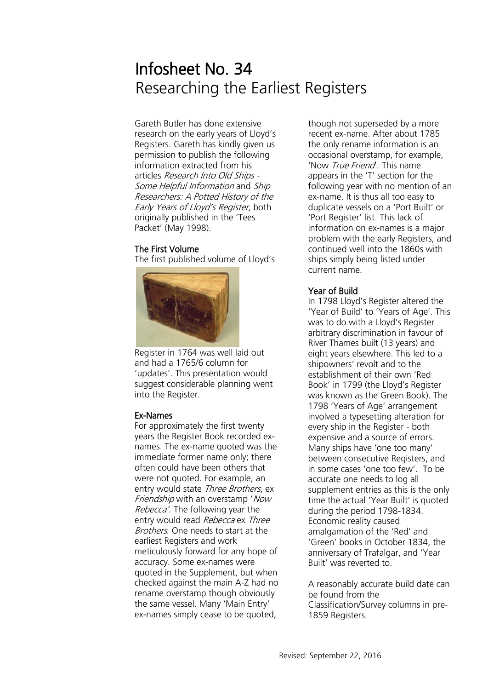# Infosheet No. 34 Researching the Earliest Registers

Gareth Butler has done extensive research on the early years of Lloyd's Registers. Gareth has kindly given us permission to publish the following information extracted from his articles Research Into Old Ships - Some Helpful Information and Ship Researchers: A Potted History of the Early Years of Lloyd's Register, both originally published in the 'Tees Packet' (May 1998).

### The First Volume

The first published volume of Lloyd's



Register in 1764 was well laid out and had a 1765/6 column for 'updates'. This presentation would suggest considerable planning went into the Register.

#### Ex-Names

For approximately the first twenty years the Register Book recorded exnames. The ex-name quoted was the immediate former name only; there often could have been others that were not quoted. For example, an entry would state Three Brothers, ex Friendship with an overstamp 'Now Rebecca'. The following year the entry would read Rebecca ex Three Brothers. One needs to start at the earliest Registers and work meticulously forward for any hope of accuracy. Some ex-names were quoted in the Supplement, but when checked against the main A-Z had no rename overstamp though obviously the same vessel. Many 'Main Entry' ex-names simply cease to be quoted,

though not superseded by a more recent ex-name. After about 1785 the only rename information is an occasional overstamp, for example, 'Now True Friend'. This name appears in the 'T' section for the following year with no mention of an ex-name. It is thus all too easy to duplicate vessels on a 'Port Built' or 'Port Register' list. This lack of information on ex-names is a major problem with the early Registers, and continued well into the 1860s with ships simply being listed under current name.

# Year of Build

In 1798 Lloyd's Register altered the 'Year of Build' to 'Years of Age'. This was to do with a Lloyd's Register arbitrary discrimination in favour of River Thames built (13 years) and eight years elsewhere. This led to a shipowners' revolt and to the establishment of their own 'Red Book' in 1799 (the Lloyd's Register was known as the Green Book). The 1798 'Years of Age' arrangement involved a typesetting alteration for every ship in the Register - both expensive and a source of errors. Many ships have 'one too many' between consecutive Registers, and in some cases 'one too few'. To be accurate one needs to log all supplement entries as this is the only time the actual 'Year Built' is quoted during the period 1798-1834. Economic reality caused amalgamation of the 'Red' and 'Green' books in October 1834, the anniversary of Trafalgar, and 'Year Built' was reverted to.

A reasonably accurate build date can be found from the Classification/Survey columns in pre-1859 Registers.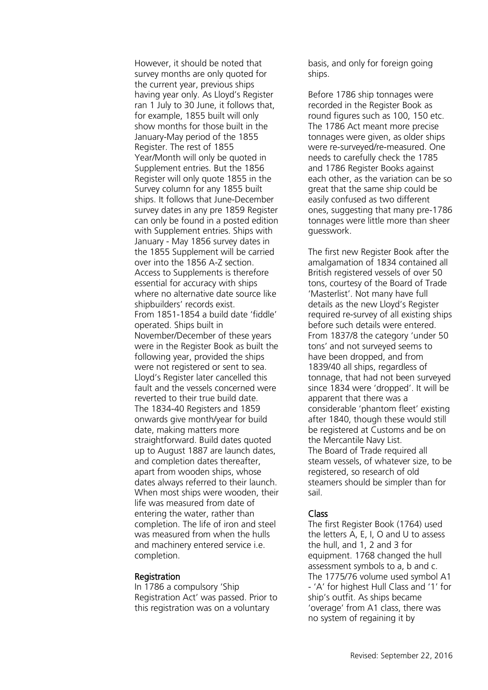However, it should be noted that survey months are only quoted for the current year, previous ships having year only. As Lloyd's Register ran 1 July to 30 June, it follows that, for example, 1855 built will only show months for those built in the January-May period of the 1855 Register. The rest of 1855 Year/Month will only be quoted in Supplement entries. But the 1856 Register will only quote 1855 in the Survey column for any 1855 built ships. It follows that June-December survey dates in any pre 1859 Register can only be found in a posted edition with Supplement entries. Ships with January - May 1856 survey dates in the 1855 Supplement will be carried over into the 1856 A-Z section. Access to Supplements is therefore essential for accuracy with ships where no alternative date source like shipbuilders' records exist. From 1851-1854 a build date 'fiddle' operated. Ships built in November/December of these years were in the Register Book as built the following year, provided the ships were not registered or sent to sea. Lloyd's Register later cancelled this fault and the vessels concerned were reverted to their true build date. The 1834-40 Registers and 1859 onwards give month/year for build date, making matters more straightforward. Build dates quoted up to August 1887 are launch dates, and completion dates thereafter, apart from wooden ships, whose dates always referred to their launch. When most ships were wooden, their life was measured from date of entering the water, rather than completion. The life of iron and steel was measured from when the hulls and machinery entered service i.e. completion.

#### Registration

In 1786 a compulsory 'Ship Registration Act' was passed. Prior to this registration was on a voluntary

basis, and only for foreign going ships.

Before 1786 ship tonnages were recorded in the Register Book as round figures such as 100, 150 etc. The 1786 Act meant more precise tonnages were given, as older ships were re-surveyed/re-measured. One needs to carefully check the 1785 and 1786 Register Books against each other, as the variation can be so great that the same ship could be easily confused as two different ones, suggesting that many pre-1786 tonnages were little more than sheer guesswork.

The first new Register Book after the amalgamation of 1834 contained all British registered vessels of over 50 tons, courtesy of the Board of Trade 'Masterlist'. Not many have full details as the new Lloyd's Register required re-survey of all existing ships before such details were entered. From 1837/8 the category 'under 50 tons' and not surveyed seems to have been dropped, and from 1839/40 all ships, regardless of tonnage, that had not been surveyed since 1834 were 'dropped'. It will be apparent that there was a considerable 'phantom fleet' existing after 1840, though these would still be registered at Customs and be on the Mercantile Navy List. The Board of Trade required all steam vessels, of whatever size, to be registered, so research of old steamers should be simpler than for sail.

#### Class

The first Register Book (1764) used the letters A, E, I, O and U to assess the hull, and 1, 2 and 3 for equipment. 1768 changed the hull assessment symbols to a, b and c. The 1775/76 volume used symbol A1 - 'A' for highest Hull Class and '1' for ship's outfit. As ships became 'overage' from A1 class, there was no system of regaining it by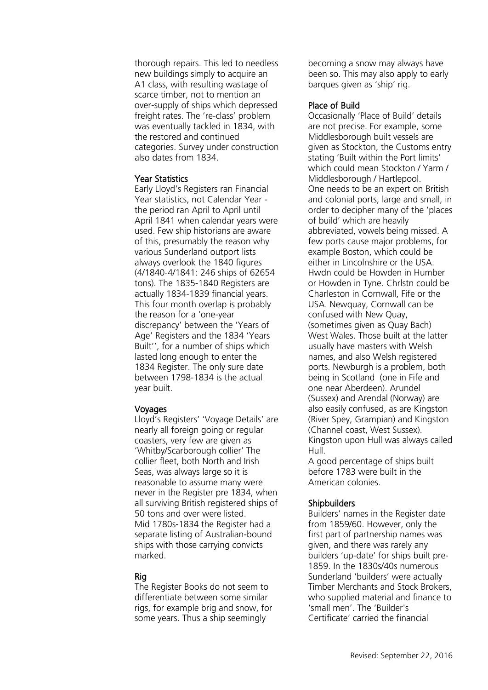thorough repairs. This led to needless new buildings simply to acquire an A1 class, with resulting wastage of scarce timber, not to mention an over-supply of ships which depressed freight rates. The 're-class' problem was eventually tackled in 1834, with the restored and continued categories. Survey under construction also dates from 1834.

### Year Statistics

Early Lloyd's Registers ran Financial Year statistics, not Calendar Year the period ran April to April until April 1841 when calendar years were used. Few ship historians are aware of this, presumably the reason why various Sunderland outport lists always overlook the 1840 figures (4/1840-4/1841: 246 ships of 62654 tons). The 1835-1840 Registers are actually 1834-1839 financial years. This four month overlap is probably the reason for a 'one-year discrepancy' between the 'Years of Age' Registers and the 1834 'Years Built'', for a number of ships which lasted long enough to enter the 1834 Register. The only sure date between 1798-1834 is the actual year built.

# Voyages

Lloyd's Registers' 'Voyage Details' are nearly all foreign going or regular coasters, very few are given as 'Whitby/Scarborough collier' The collier fleet, both North and Irish Seas, was always large so it is reasonable to assume many were never in the Register pre 1834, when all surviving British registered ships of 50 tons and over were listed. Mid 1780s-1834 the Register had a separate listing of Australian-bound ships with those carrying convicts marked.

# Rig

The Register Books do not seem to differentiate between some similar rigs, for example brig and snow, for some years. Thus a ship seemingly

becoming a snow may always have been so. This may also apply to early barques given as 'ship' rig.

#### Place of Build

Occasionally 'Place of Build' details are not precise. For example, some Middlesborough built vessels are given as Stockton, the Customs entry stating 'Built within the Port limits' which could mean Stockton / Yarm / Middlesborough / Hartlepool. One needs to be an expert on British and colonial ports, large and small, in order to decipher many of the 'places of build' which are heavily abbreviated, vowels being missed. A few ports cause major problems, for example Boston, which could be either in Lincolnshire or the USA. Hwdn could be Howden in Humber or Howden in Tyne. Chrlstn could be Charleston in Cornwall, Fife or the USA. Newquay, Cornwall can be confused with New Quay, (sometimes given as Quay Bach) West Wales. Those built at the latter usually have masters with Welsh names, and also Welsh registered ports. Newburgh is a problem, both being in Scotland (one in Fife and one near Aberdeen). Arundel (Sussex) and Arendal (Norway) are also easily confused, as are Kingston (River Spey, Grampian) and Kingston (Channel coast, West Sussex). Kingston upon Hull was always called Hull.

A good percentage of ships built before 1783 were built in the American colonies.

# **Shipbuilders**

Builders' names in the Register date from 1859/60. However, only the first part of partnership names was given, and there was rarely any builders 'up-date' for ships built pre-1859. In the 1830s/40s numerous Sunderland 'builders' were actually Timber Merchants and Stock Brokers, who supplied material and finance to 'small men'. The 'Builder's Certificate' carried the financial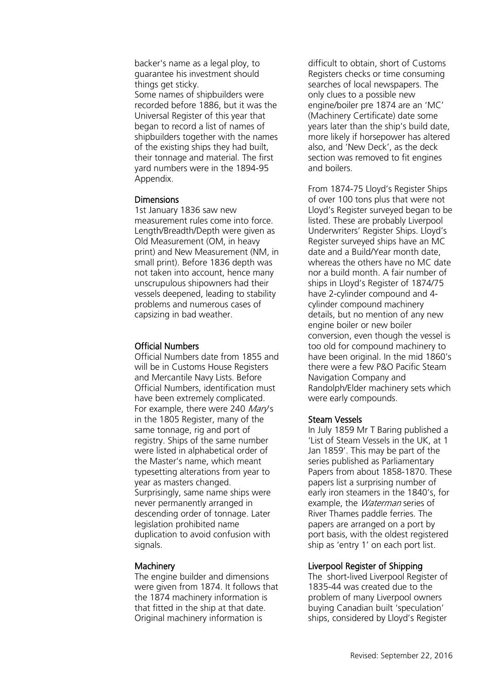backer's name as a legal ploy, to guarantee his investment should things get sticky. Some names of shipbuilders were recorded before 1886, but it was the Universal Register of this year that began to record a list of names of shipbuilders together with the names of the existing ships they had built, their tonnage and material. The first yard numbers were in the 1894-95 Appendix.

#### **Dimensions**

1st January 1836 saw new measurement rules come into force. Length/Breadth/Depth were given as Old Measurement (OM, in heavy print) and New Measurement (NM, in small print). Before 1836 depth was not taken into account, hence many unscrupulous shipowners had their vessels deepened, leading to stability problems and numerous cases of capsizing in bad weather.

## Official Numbers

Official Numbers date from 1855 and will be in Customs House Registers and Mercantile Navy Lists. Before Official Numbers, identification must have been extremely complicated. For example, there were 240 Mary's in the 1805 Register, many of the same tonnage, rig and port of registry. Ships of the same number were listed in alphabetical order of the Master's name, which meant typesetting alterations from year to year as masters changed. Surprisingly, same name ships were never permanently arranged in descending order of tonnage. Later legislation prohibited name duplication to avoid confusion with signals.

# **Machinery**

The engine builder and dimensions were given from 1874. It follows that the 1874 machinery information is that fitted in the ship at that date. Original machinery information is

difficult to obtain, short of Customs Registers checks or time consuming searches of local newspapers. The only clues to a possible new engine/boiler pre 1874 are an 'MC' (Machinery Certificate) date some years later than the ship's build date, more likely if horsepower has altered also, and 'New Deck', as the deck section was removed to fit engines and boilers.

From 1874-75 Lloyd's Register Ships of over 100 tons plus that were not Lloyd's Register surveyed began to be listed. These are probably Liverpool Underwriters' Register Ships. Lloyd's Register surveyed ships have an MC date and a Build/Year month date, whereas the others have no MC date nor a build month. A fair number of ships in Lloyd's Register of 1874/75 have 2-cylinder compound and 4 cylinder compound machinery details, but no mention of any new engine boiler or new boiler conversion, even though the vessel is too old for compound machinery to have been original. In the mid 1860's there were a few P&O Pacific Steam Navigation Company and Randolph/Elder machinery sets which were early compounds.

# Steam Vessels

In July 1859 Mr T Baring published a 'List of Steam Vessels in the UK, at 1 Jan 1859'. This may be part of the series published as Parliamentary Papers from about 1858-1870. These papers list a surprising number of early iron steamers in the 1840's, for example, the *Waterman* series of River Thames paddle ferries. The papers are arranged on a port by port basis, with the oldest registered ship as 'entry 1' on each port list.

# Liverpool Register of Shipping

The short-lived Liverpool Register of 1835-44 was created due to the problem of many Liverpool owners buying Canadian built 'speculation' ships, considered by Lloyd's Register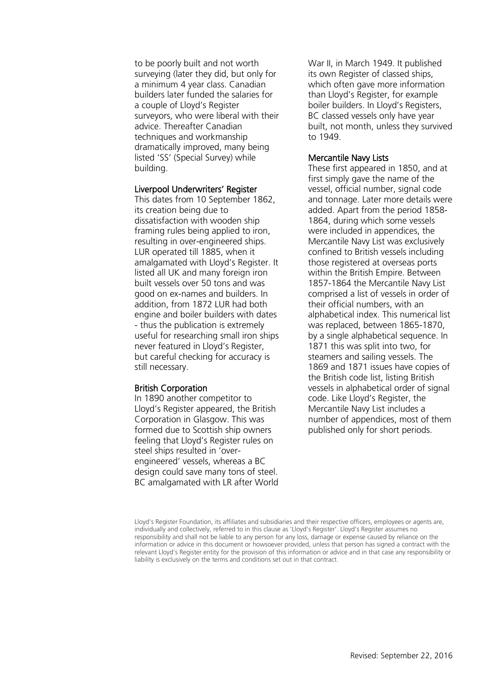to be poorly built and not worth surveying (later they did, but only for a minimum 4 year class. Canadian builders later funded the salaries for a couple of Lloyd's Register surveyors, who were liberal with their advice. Thereafter Canadian techniques and workmanship dramatically improved, many being listed 'SS' (Special Survey) while building.

#### Liverpool Underwriters' Register

This dates from 10 September 1862, its creation being due to dissatisfaction with wooden ship framing rules being applied to iron, resulting in over-engineered ships. LUR operated till 1885, when it amalgamated with Lloyd's Register. It listed all UK and many foreign iron built vessels over 50 tons and was good on ex-names and builders. In addition, from 1872 LUR had both engine and boiler builders with dates - thus the publication is extremely useful for researching small iron ships never featured in Lloyd's Register, but careful checking for accuracy is still necessary.

#### British Corporation

In 1890 another competitor to Lloyd's Register appeared, the British Corporation in Glasgow. This was formed due to Scottish ship owners feeling that Lloyd's Register rules on steel ships resulted in 'overengineered' vessels, whereas a BC design could save many tons of steel. BC amalgamated with LR after World War II, in March 1949. It published its own Register of classed ships, which often gave more information than Lloyd's Register, for example boiler builders. In Lloyd's Registers, BC classed vessels only have year built, not month, unless they survived to 1949.

#### Mercantile Navy Lists

These first appeared in 1850, and at first simply gave the name of the vessel, official number, signal code and tonnage. Later more details were added. Apart from the period 1858- 1864, during which some vessels were included in appendices, the Mercantile Navy List was exclusively confined to British vessels including those registered at overseas ports within the British Empire. Between 1857-1864 the Mercantile Navy List comprised a list of vessels in order of their official numbers, with an alphabetical index. This numerical list was replaced, between 1865-1870, by a single alphabetical sequence. In 1871 this was split into two, for steamers and sailing vessels. The 1869 and 1871 issues have copies of the British code list, listing British vessels in alphabetical order of signal code. Like Lloyd's Register, the Mercantile Navy List includes a number of appendices, most of them published only for short periods.

Lloyd's Register Foundation, its affiliates and subsidiaries and their respective officers, employees or agents are, individually and collectively, referred to in this clause as 'Lloyd's Register'. Lloyd's Register assumes no responsibility and shall not be liable to any person for any loss, damage or expense caused by reliance on the information or advice in this document or howsoever provided, unless that person has signed a contract with the relevant Lloyd's Register entity for the provision of this information or advice and in that case any responsibility or liability is exclusively on the terms and conditions set out in that contract.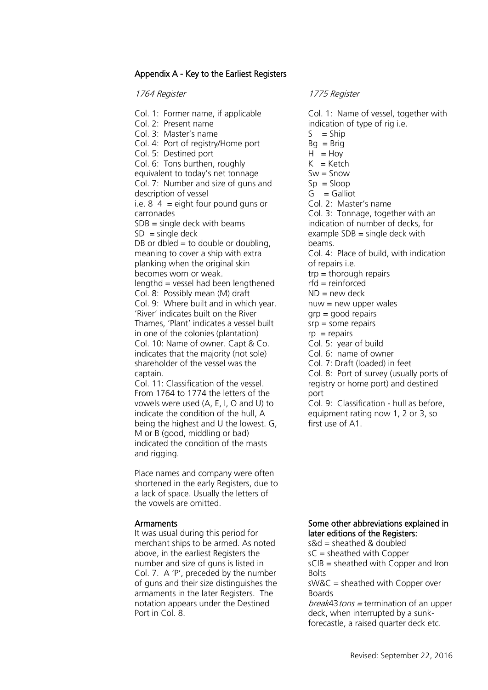## Appendix A - Key to the Earliest Registers

1764 Register

### 1775 Register

Col. 1: Former name, if applicable Col. 2: Present name Col. 3: Master's name Col. 4: Port of registry/Home port Col. 5: Destined port Col. 6: Tons burthen, roughly equivalent to today's net tonnage Col. 7: Number and size of guns and description of vessel i.e.  $8\dot{4}$  = eight four pound guns or carronades  $SDB =$  single deck with beams  $SD = \text{single deck}$ DB or dbled  $=$  to double or doubling, meaning to cover a ship with extra planking when the original skin becomes worn or weak. lengthd = vessel had been lengthened Col. 8: Possibly mean (M) draft Col. 9: Where built and in which year. 'River' indicates built on the River Thames, 'Plant' indicates a vessel built in one of the colonies (plantation) Col. 10: Name of owner. Capt & Co. indicates that the majority (not sole) shareholder of the vessel was the captain. Col. 11: Classification of the vessel.

From 1764 to 1774 the letters of the vowels were used (A, E, I, O and U) to indicate the condition of the hull, A being the highest and U the lowest. G, M or B (good, middling or bad) indicated the condition of the masts and rigging.

Place names and company were often shortened in the early Registers, due to a lack of space. Usually the letters of the vowels are omitted.

#### **Armaments**

It was usual during this period for merchant ships to be armed. As noted above, in the earliest Registers the number and size of guns is listed in Col. 7. A 'P', preceded by the number of guns and their size distinguishes the armaments in the later Registers. The notation appears under the Destined Port in Col. 8.

Col. 1: Name of vessel, together with indication of type of rig i.e.  $S = Shin$  $Bq = Brig$  $H = Hoy$  $K =$ Ketch  $Sw =$  Snow  $Sp = Sloop$  $G =$  Galliot Col. 2: Master's name Col. 3: Tonnage, together with an indication of number of decks, for example  $SDB$  = single deck with beams. Col. 4: Place of build, with indication of repairs i.e. trp = thorough repairs  $rfd =$  reinforced  $ND = new deck$  $nu = new upper wales$  $qrp = qood$  repairs  $srp = some repairs$  $rp = repairs$ Col. 5: year of build Col. 6: name of owner Col. 7: Draft (loaded) in feet Col. 8: Port of survey (usually ports of registry or home port) and destined port

Col. 9: Classification - hull as before, equipment rating now 1, 2 or 3, so first use of A1.

## Some other abbreviations explained in later editions of the Registers:

 $s$ &d = sheathed & doubled sC = sheathed with Copper sCIB = sheathed with Copper and Iron **Bolts** sW&C = sheathed with Copper over

Boards  $break43$  tons = termination of an upper

deck, when interrupted by a sunkforecastle, a raised quarter deck etc.